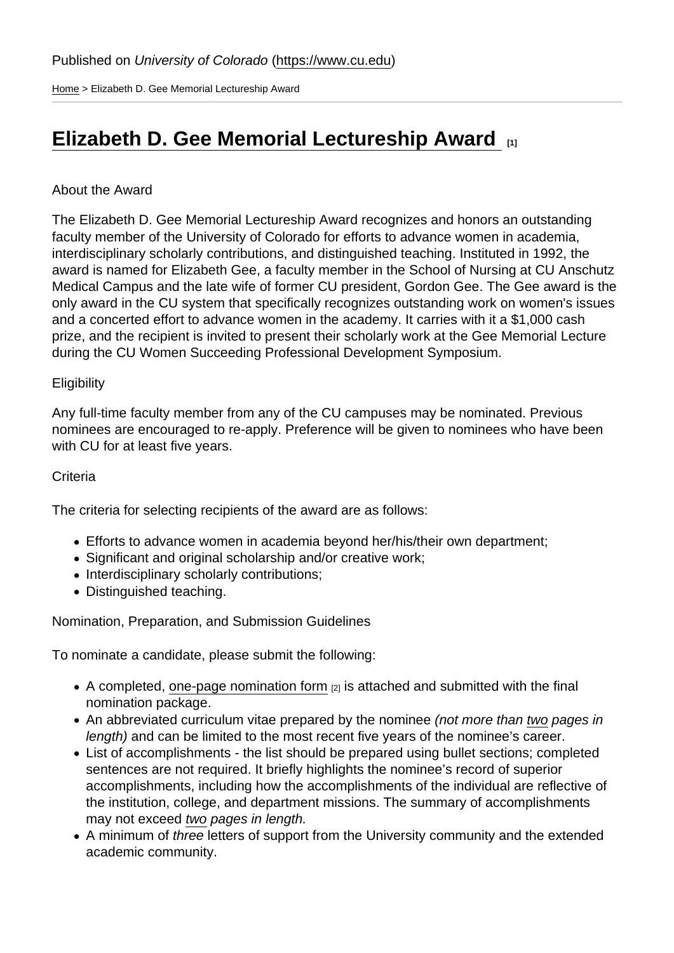[Home](https://www.cu.edu/) > Elizabeth D. Gee Memorial Lectureship Award

# [Elizabeth D. Gee Memorial Lectureship Award](https://www.cu.edu/faculty/committees-faculty-council/womens-committee/elizabeth-d-gee-memorial-lectureship-award) [1]

## About the Award

The Elizabeth D. Gee Memorial Lectureship Award recognizes and honors an outstanding faculty member of the University of Colorado for efforts to advance women in academia, interdisciplinary scholarly contributions, and distinguished teaching. Instituted in 1992, the award is named for Elizabeth Gee, a faculty member in the School of Nursing at CU Anschutz Medical Campus and the late wife of former CU president, Gordon Gee. The Gee award is the only award in the CU system that specifically recognizes outstanding work on women's issues and a concerted effort to advance women in the academy. It carries with it a \$1,000 cash prize, and the recipient is invited to present their scholarly work at the Gee Memorial Lecture during the CU Women Succeeding Professional Development Symposium.

### **Eligibility**

Any full-time faculty member from any of the CU campuses may be nominated. Previous nominees are encouraged to re-apply. Preference will be given to nominees who have been with CU for at least five years.

#### **Criteria**

The criteria for selecting recipients of the award are as follows:

- Efforts to advance women in academia beyond her/his/their own department;
- Significant and original scholarship and/or creative work;
- Interdisciplinary scholarly contributions;
- Distinguished teaching.

Nomination, Preparation, and Submission Guidelines

To nominate a candidate, please submit the following:

- A completed, [one-page nomination form](https://www.cu.edu/doc/2019-gee-award-nomination-formdocx-6) [2] is attached and submitted with the final nomination package.
- An abbreviated curriculum vitae prepared by the nominee (not more than two pages in length) and can be limited to the most recent five years of the nominee's career.
- List of accomplishments the list should be prepared using bullet sections; completed sentences are not required. It briefly highlights the nominee's record of superior accomplishments, including how the accomplishments of the individual are reflective of the institution, college, and department missions. The summary of accomplishments may not exceed two pages in length.
- A minimum of three letters of support from the University community and the extended academic community.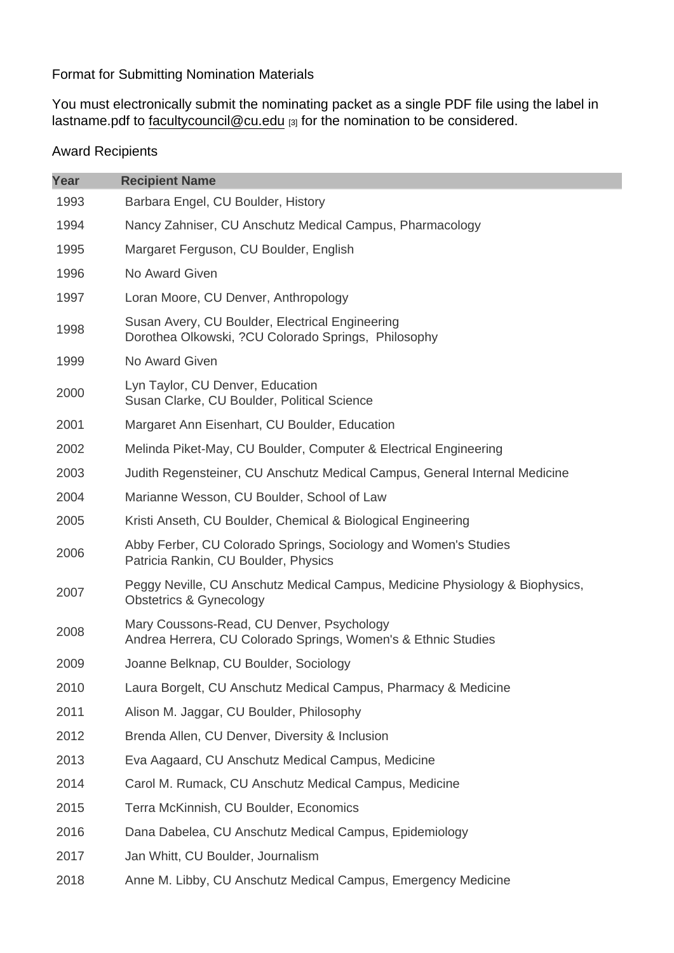## Format for Submitting Nomination Materials

You must electronically submit the nominating packet as a single PDF file using the label in lastname.pdf to [facultycouncil@cu.edu](mailto:facultycouncil@cu.edu) [3] for the nomination to be considered.

## Award Recipients

| Year | <b>Recipient Name</b>                                                                                              |
|------|--------------------------------------------------------------------------------------------------------------------|
| 1993 | Barbara Engel, CU Boulder, History                                                                                 |
| 1994 | Nancy Zahniser, CU Anschutz Medical Campus, Pharmacology                                                           |
| 1995 | Margaret Ferguson, CU Boulder, English                                                                             |
| 1996 | No Award Given                                                                                                     |
| 1997 | Loran Moore, CU Denver, Anthropology                                                                               |
| 1998 | Susan Avery, CU Boulder, Electrical Engineering<br>Dorothea Olkowski, ?CU Colorado Springs, Philosophy             |
| 1999 | No Award Given                                                                                                     |
| 2000 | Lyn Taylor, CU Denver, Education<br>Susan Clarke, CU Boulder, Political Science                                    |
| 2001 | Margaret Ann Eisenhart, CU Boulder, Education                                                                      |
| 2002 | Melinda Piket-May, CU Boulder, Computer & Electrical Engineering                                                   |
| 2003 | Judith Regensteiner, CU Anschutz Medical Campus, General Internal Medicine                                         |
| 2004 | Marianne Wesson, CU Boulder, School of Law                                                                         |
| 2005 | Kristi Anseth, CU Boulder, Chemical & Biological Engineering                                                       |
| 2006 | Abby Ferber, CU Colorado Springs, Sociology and Women's Studies<br>Patricia Rankin, CU Boulder, Physics            |
| 2007 | Peggy Neville, CU Anschutz Medical Campus, Medicine Physiology & Biophysics,<br><b>Obstetrics &amp; Gynecology</b> |
| 2008 | Mary Coussons-Read, CU Denver, Psychology<br>Andrea Herrera, CU Colorado Springs, Women's & Ethnic Studies         |
| 2009 | Joanne Belknap, CU Boulder, Sociology                                                                              |
| 2010 | Laura Borgelt, CU Anschutz Medical Campus, Pharmacy & Medicine                                                     |
| 2011 | Alison M. Jaggar, CU Boulder, Philosophy                                                                           |
| 2012 | Brenda Allen, CU Denver, Diversity & Inclusion                                                                     |
| 2013 | Eva Aagaard, CU Anschutz Medical Campus, Medicine                                                                  |
| 2014 | Carol M. Rumack, CU Anschutz Medical Campus, Medicine                                                              |
| 2015 | Terra McKinnish, CU Boulder, Economics                                                                             |
| 2016 | Dana Dabelea, CU Anschutz Medical Campus, Epidemiology                                                             |
| 2017 | Jan Whitt, CU Boulder, Journalism                                                                                  |
| 2018 | Anne M. Libby, CU Anschutz Medical Campus, Emergency Medicine                                                      |